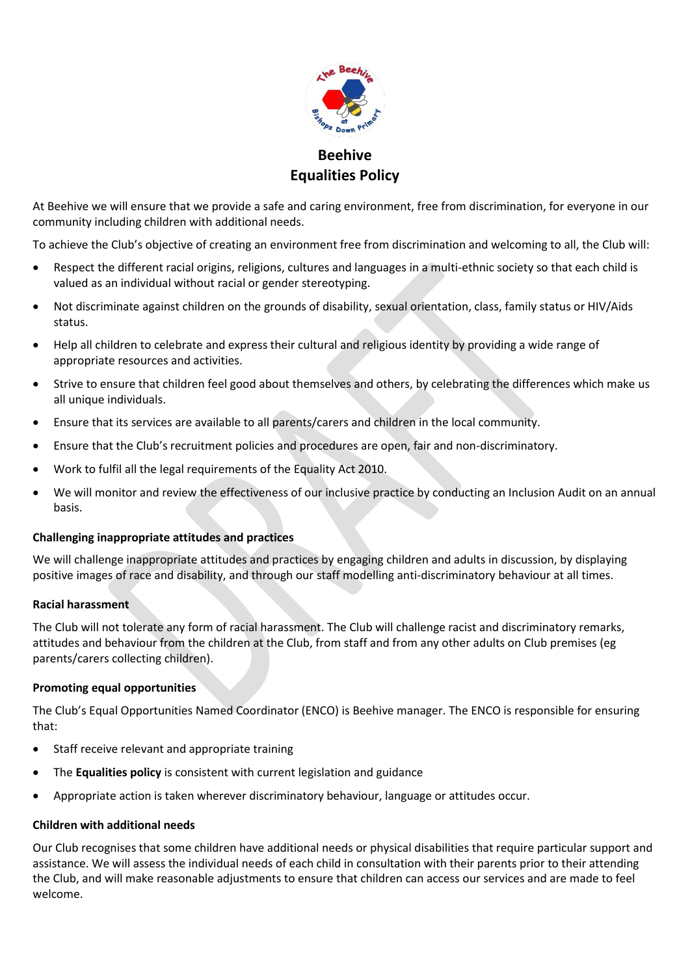

# **Beehive Equalities Policy**

At Beehive we will ensure that we provide a safe and caring environment, free from discrimination, for everyone in our community including children with additional needs.

To achieve the Club's objective of creating an environment free from discrimination and welcoming to all, the Club will:

- Respect the different racial origins, religions, cultures and languages in a multi-ethnic society so that each child is valued as an individual without racial or gender stereotyping.
- Not discriminate against children on the grounds of disability, sexual orientation, class, family status or HIV/Aids status.
- Help all children to celebrate and express their cultural and religious identity by providing a wide range of appropriate resources and activities.
- Strive to ensure that children feel good about themselves and others, by celebrating the differences which make us all unique individuals.
- Ensure that its services are available to all parents/carers and children in the local community.
- Ensure that the Club's recruitment policies and procedures are open, fair and non-discriminatory.
- Work to fulfil all the legal requirements of the Equality Act 2010.
- We will monitor and review the effectiveness of our inclusive practice by conducting an Inclusion Audit on an annual basis.

## **Challenging inappropriate attitudes and practices**

We will challenge inappropriate attitudes and practices by engaging children and adults in discussion, by displaying positive images of race and disability, and through our staff modelling anti-discriminatory behaviour at all times.

## **Racial harassment**

The Club will not tolerate any form of racial harassment. The Club will challenge racist and discriminatory remarks, attitudes and behaviour from the children at the Club, from staff and from any other adults on Club premises (eg parents/carers collecting children).

## **Promoting equal opportunities**

The Club's Equal Opportunities Named Coordinator (ENCO) is Beehive manager. The ENCO is responsible for ensuring that:

- Staff receive relevant and appropriate training
- The **Equalities policy** is consistent with current legislation and guidance
- Appropriate action is taken wherever discriminatory behaviour, language or attitudes occur.

#### **Children with additional needs**

Our Club recognises that some children have additional needs or physical disabilities that require particular support and assistance. We will assess the individual needs of each child in consultation with their parents prior to their attending the Club, and will make reasonable adjustments to ensure that children can access our services and are made to feel welcome.